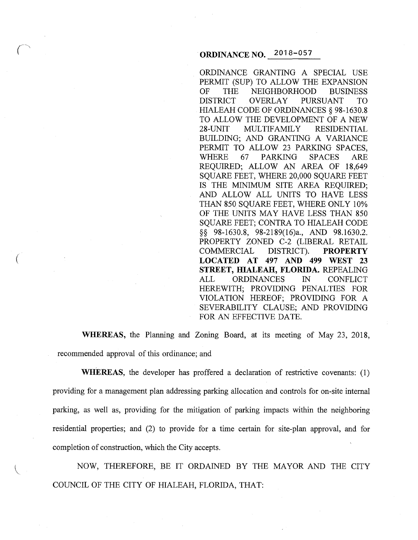# **ORDINANCE NO.** 2018-057

ORDINANCE GRANTING A SPECIAL USE PERMIT (SUP) TO ALLOW THE EXPANSION OF THE NEIGHBORHOOD BUSINESS DISTRICT OVERLAY PURSUANT TO HIALEAH CODE OF ORDINANCES § 98-1630.8 TO ALLOW THE DEVELOPMENT OF A NEW 28-UNIT MULTIFAMILY RESIDENTIAL BUILDING; AND GRANTING A VARIANCE PERMIT TO ALLOW 23 PARKING SPACES, WHERE 67 PARKING SPACES ARE REQUIRED; ALLOW AN AREA OF 18,649 SQUARE FEET, WHERE 20,000 SQUARE FEET IS THE MINIMUM SITE AREA REQUIRED; AND ALLOW ALL UNITS TO HAVE LESS THAN 850 SQUARE FEET, WHERE ONLY 10% OF THE UNITS MAY HAVE LESS THAN 850 SQUARE FEET; CONTRA TO HIALEAH CODE §§ 98-1630.8, 98-2189(16)a., AND 98.1630.2. PROPERTY ZONED C-2 (LIBERAL RETAIL COMMERCIAL DISTRICT). **PROPERTY LOCATED AT 497 AND 499 WEST 23 STREET, HIALEAH, FLORIDA. REPEALING** ALL ORDINANCES IN CONFLICT HEREWITH; PROVIDING PENALTIES FOR VIOLATION HEREOF; PROVIDING FOR A SEVERABILITY CLAUSE; AND PROVIDING FOR AN EFFECTIVE DATE.

**WHEREAS,** the Planning and Zoning Board, at its meeting of May 23, 2018, recommended approval of this ordinance; and

(

**WHEREAS,** the developer has proffered a declaration of restrictive covenants: (1) providing for a management plan addressing parking allocation and controls for on-site internal parking, as well as, providing for the mitigation of parking impacts within the neighboring residential properties; and (2) to provide for a time certain for site-plan approval, and for completion of construction, which the City accepts.

NOW, THEREFORE, BE IT ORDAINED BY THE MAYOR AND THE CITY COUNCIL OF THE CITY OF HIALEAH, FLORIDA, THAT: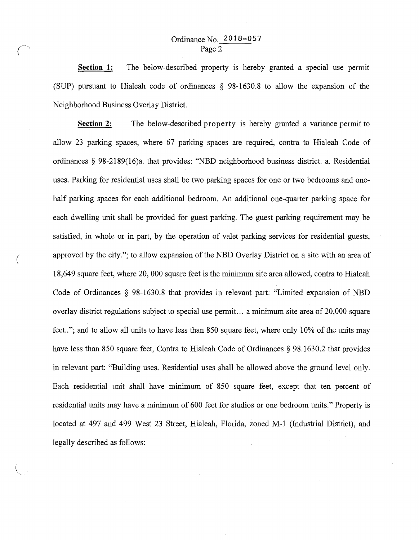# Ordinance No. 2018-057 Page  $2$

**Section 1:**  The below-described property is hereby granted a special use permit (SUP) pursuant to Hialeah code of ordinances § 98-1630.8 to allow the expansion of the Neighborhood Business Overlay District.

**Section 2:** The below-described property is hereby granted a variance permit to allow 23 parking spaces, where 67 parking spaces are required, contra to Hialeah Code of ordinances § 98-2189(16)a. that provides: "NBD neighborhood business district. a. Residential uses. Parking for residential uses shall be two parking spaces for one or two bedrooms and onehalf parking spaces for each additional bedroom. An additional one-quarter parking space for each dwelling unit shall be provided for guest parking. The guest parking requirement may be satisfied, in whole or in part, by the operation of valet parking services for residential guests, approved by the city."; to allow expansion of the NBD Overlay District on a site with an area of 18,649 square feet, where 20, 000 square feet is the minimum site area allowed, contra to Hialeah Code of Ordinances § 98-1630.8 that provides in relevant part: "Limited expansion of NBD overlay district regulations subject to special use permit. .. a minimum site area of 20,000 square feet.."; and to allow all units to have less than 850 square feet, where only 10% of the units may have less than 850 square feet, Contra to Hialeah Code of Ordinances § 98.1630.2 that provides in relevant part: "Building uses. Residential uses shall be allowed above the ground level only. Each residential unit shall have minimum of 850 square feet, except that ten percent of residential units may have a minimum of 600 feet for studios or one bedroom units." Property is located at 497 and 499 West 23 Street, Hialeah, Florida, zoned M-1 (Industrial District), and legally described as follows:

(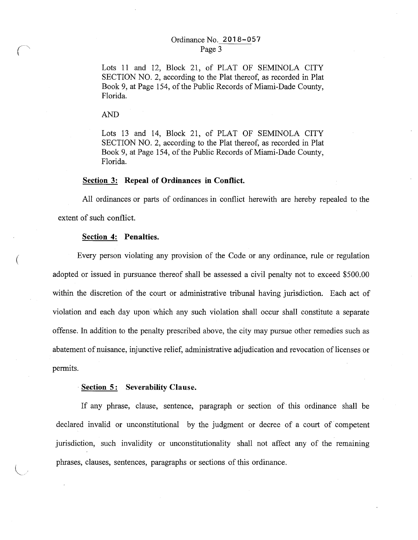Lots 11 and 12, Block 21, of PLAT OF SEMINOLA CITY SECTION NO. 2, according to the Plat thereof, as recorded in Plat Book 9, at Page 154, of the Public Records of Miami-Dade County, Florida.

AND

Lots 13 and 14, Block 21, of PLAT OF SEMINOLA CITY SECTION NO. 2, according to the Plat thereof, as recorded in Plat Book 9, at Page 154, of the Public Records of Miami-Dade County, Florida.

### **Section 3: Repeal of Ordinances in Conflict.**

All ordinances or parts of ordinances in conflict herewith are hereby repealed to the extent of such conflict.

### **Section 4: Penalties.**

(

Every person violating any provision of the Code or any ordinance, rule or regulation adopted or issued in pursuance thereof shall be assessed a civil penalty not to exceed \$500.00 within the discretion of the court or administrative tribunal having jurisdiction. Each act of violation and each day upon which any such violation shall occur shall constitute a separate offense. In addition to the penalty prescribed above, the city may pursue other remedies such as abatement of nuisance, injunctive relief, administrative adjudication and revocation of licenses or permits.

### **Section 5: Severability Clause.**

If any phrase, clause, sentence, paragraph or section of this ordinance shall be declared invalid or unconstitutional by the judgment or decree of a court of competent jurisdiction, such invalidity or unconstitutionality shall not affect any of the remaining phrases, clauses, sentences, paragraphs or sections of this ordinance.